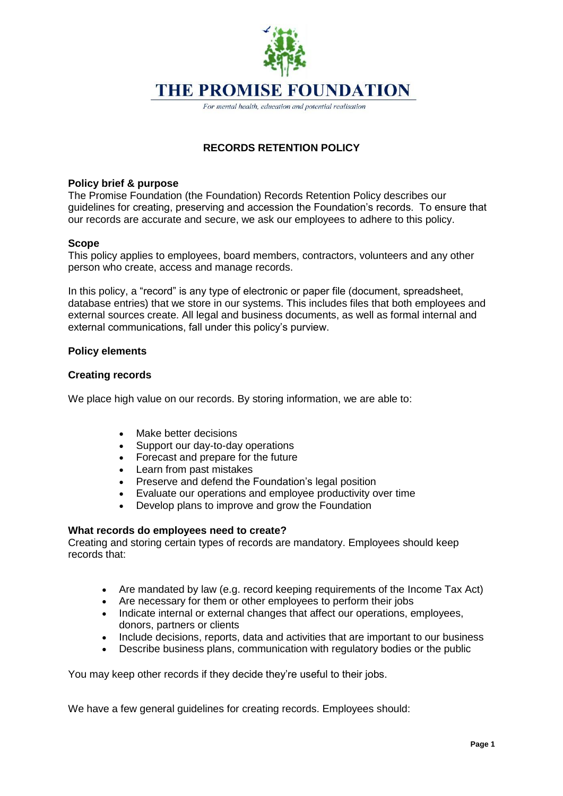

**THE PROMISE FOUNDATION** 

For mental health, education and potential realisation

# **RECORDS RETENTION POLICY**

## **Policy brief & purpose**

The Promise Foundation (the Foundation) Records Retention Policy describes our guidelines for creating, preserving and accession the Foundation's records. To ensure that our records are accurate and secure, we ask our employees to adhere to this policy.

## **Scope**

This policy applies to employees, board members, contractors, volunteers and any other person who create, access and manage records.

In this policy, a "record" is any type of electronic or paper file (document, spreadsheet, database entries) that we store in our systems. This includes files that both employees and external sources create. All legal and business documents, as well as formal internal and external communications, fall under this policy's purview.

# **Policy elements**

## **Creating records**

We place high value on our records. By storing information, we are able to:

- Make better decisions
- Support our day-to-day operations
- Forecast and prepare for the future
- Learn from past mistakes
- Preserve and defend the Foundation's legal position
- Evaluate our operations and employee productivity over time
- Develop plans to improve and grow the Foundation

#### **What records do employees need to create?**

Creating and storing certain types of records are mandatory. Employees should keep records that:

- Are mandated by law (e.g. record keeping requirements of the Income Tax Act)
- Are necessary for them or other employees to perform their jobs
- Indicate internal or external changes that affect our operations, employees, donors, partners or clients
- Include decisions, reports, data and activities that are important to our business
- Describe business plans, communication with regulatory bodies or the public

You may keep other records if they decide they're useful to their jobs.

We have a few general guidelines for creating records. Employees should: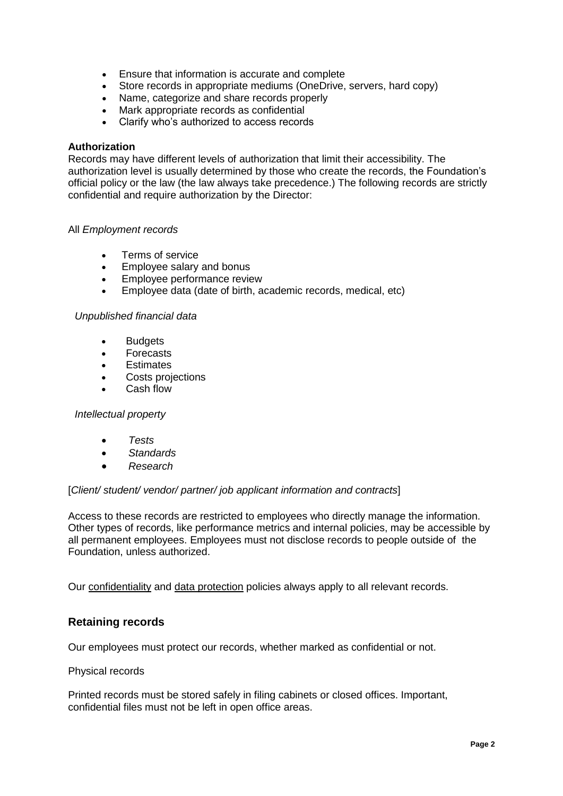- Ensure that information is accurate and complete
- Store records in appropriate mediums (OneDrive, servers, hard copy)
- Name, categorize and share records properly
- Mark appropriate records as confidential
- Clarify who's authorized to access records

#### **Authorization**

Records may have different levels of authorization that limit their accessibility. The authorization level is usually determined by those who create the records, the Foundation's official policy or the law (the law always take precedence.) The following records are strictly confidential and require authorization by the Director:

#### All *Employment records*

- Terms of service
- Employee salary and bonus
- Employee performance review
- Employee data (date of birth, academic records, medical, etc)

#### *Unpublished financial data*

- Budgets
- Forecasts
- **Estimates**
- Costs projections
- Cash flow

#### *Intellectual property*

- *Tests*
- *Standards*
- *Research*

#### [*Client/ student/ vendor/ partner/ job applicant information and contracts*]

Access to these records are restricted to employees who directly manage the information. Other types of records, like performance metrics and internal policies, may be accessible by all permanent employees. Employees must not disclose records to people outside of the Foundation, unless authorized.

Our [confidentiality](https://resources.workable.com/confidentiality-company-policy) and [data protection](https://resources.workable.com/data-protection-company-policy) policies always apply to all relevant records.

# **Retaining records**

Our employees must protect our records, whether marked as confidential or not.

#### Physical records

Printed records must be stored safely in filing cabinets or closed offices. Important, confidential files must not be left in open office areas.